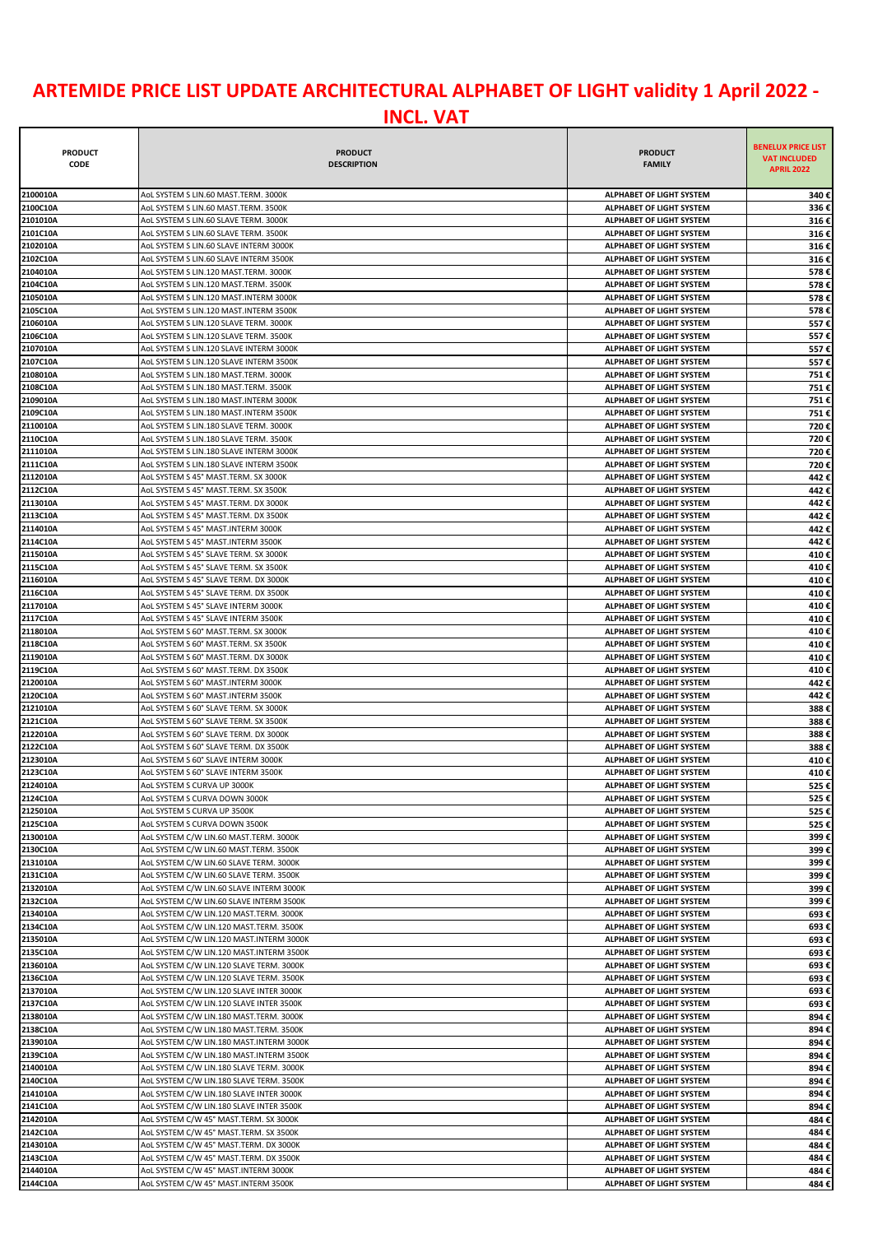## **ARTEMIDE PRICE LIST UPDATE ARCHITECTURAL ALPHABET OF LIGHT validity 1 April 2022 -**

| <b>PRODUCT</b><br><b>CODE</b> | <b>PRODUCT</b><br><b>DESCRIPTION</b>                                                 | <b>PRODUCT</b><br><b>FAMILY</b>                             | <b>BENELUX PRICE LIST</b><br><b>VAT INCLUDED</b><br><b>APRIL 2022</b> |
|-------------------------------|--------------------------------------------------------------------------------------|-------------------------------------------------------------|-----------------------------------------------------------------------|
|                               |                                                                                      |                                                             |                                                                       |
| 2100010A<br>2100C10A          | AOL SYSTEM S LIN.60 MAST.TERM. 3000K                                                 | ALPHABET OF LIGHT SYSTEM                                    | 340€                                                                  |
| 2101010A                      | AOL SYSTEM S LIN.60 MAST.TERM. 3500K<br>AOL SYSTEM S LIN.60 SLAVE TERM. 3000K        | ALPHABET OF LIGHT SYSTEM<br>ALPHABET OF LIGHT SYSTEM        | 336€<br>316€                                                          |
| 2101C10A                      | AOL SYSTEM S LIN.60 SLAVE TERM. 3500K                                                | ALPHABET OF LIGHT SYSTEM                                    | 316€                                                                  |
| 2102010A                      | AOL SYSTEM S LIN.60 SLAVE INTERM 3000K                                               | ALPHABET OF LIGHT SYSTEM                                    | 316€                                                                  |
| 2102C10A                      | AOL SYSTEM S LIN.60 SLAVE INTERM 3500K                                               | <b>ALPHABET OF LIGHT SYSTEM</b>                             | 316€                                                                  |
| 2104010A                      | AoL SYSTEM S LIN.120 MAST.TERM. 3000K                                                | <b>ALPHABET OF LIGHT SYSTEM</b>                             | 578€                                                                  |
| 2104C10A                      | AoL SYSTEM S LIN.120 MAST.TERM. 3500K                                                | <b>ALPHABET OF LIGHT SYSTEM</b>                             | 578€                                                                  |
| 2105010A                      | AOL SYSTEM S LIN.120 MAST.INTERM 3000K                                               | ALPHABET OF LIGHT SYSTEM                                    | 578€                                                                  |
| 2105C10A                      | AOL SYSTEM S LIN.120 MAST.INTERM 3500K                                               | <b>ALPHABET OF LIGHT SYSTEM</b>                             | 578€                                                                  |
| 2106010A                      | AOL SYSTEM S LIN.120 SLAVE TERM. 3000K                                               | ALPHABET OF LIGHT SYSTEM                                    | 557€                                                                  |
| 2106C10A                      | AOL SYSTEM S LIN.120 SLAVE TERM. 3500K                                               | <b>ALPHABET OF LIGHT SYSTEM</b>                             | 557€                                                                  |
| 2107010A                      | AOL SYSTEM S LIN.120 SLAVE INTERM 3000K                                              | ALPHABET OF LIGHT SYSTEM                                    | 557€                                                                  |
| 2107C10A                      | AOL SYSTEM S LIN.120 SLAVE INTERM 3500K                                              | ALPHABET OF LIGHT SYSTEM                                    | 557€                                                                  |
| 2108010A                      | AOL SYSTEM S LIN.180 MAST.TERM. 3000K                                                | ALPHABET OF LIGHT SYSTEM                                    | 751€                                                                  |
| 2108C10A                      | AoL SYSTEM S LIN.180 MAST.TERM. 3500K                                                | ALPHABET OF LIGHT SYSTEM                                    | 751€                                                                  |
| 2109010A                      | AOL SYSTEM S LIN.180 MAST.INTERM 3000K                                               | ALPHABET OF LIGHT SYSTEM                                    | 751€                                                                  |
| 2109C10A                      | AoL SYSTEM S LIN.180 MAST.INTERM 3500K                                               | ALPHABET OF LIGHT SYSTEM                                    | 751€                                                                  |
| 2110010A                      | AOL SYSTEM S LIN.180 SLAVE TERM. 3000K                                               | <b>ALPHABET OF LIGHT SYSTEM</b>                             | 720€                                                                  |
| 2110C10A                      | AOL SYSTEM S LIN.180 SLAVE TERM. 3500K                                               | <b>ALPHABET OF LIGHT SYSTEM</b>                             | 720€                                                                  |
| 2111010A                      | AOL SYSTEM S LIN.180 SLAVE INTERM 3000K                                              | <b>ALPHABET OF LIGHT SYSTEM</b>                             | 720€                                                                  |
| 2111C10A                      | AOL SYSTEM S LIN.180 SLAVE INTERM 3500K                                              | ALPHABET OF LIGHT SYSTEM                                    | 720€                                                                  |
| 2112010A                      | AoL SYSTEM S 45° MAST.TERM. SX 3000K                                                 | ALPHABET OF LIGHT SYSTEM                                    | 442€                                                                  |
| 2112C10A<br>2113010A          | AoL SYSTEM S 45° MAST.TERM. SX 3500K                                                 | ALPHABET OF LIGHT SYSTEM<br><b>ALPHABET OF LIGHT SYSTEM</b> | 442€                                                                  |
| 2113C10A                      | AOL SYSTEM S 45° MAST.TERM. DX 3000K<br>AoL SYSTEM S 45° MAST. TERM. DX 3500K        | ALPHABET OF LIGHT SYSTEM                                    | 442€<br>442€                                                          |
| 2114010A                      | AoL SYSTEM S 45° MAST.INTERM 3000K                                                   | ALPHABET OF LIGHT SYSTEM                                    | 442€                                                                  |
| 2114C10A                      | AoL SYSTEM S 45° MAST.INTERM 3500K                                                   | ALPHABET OF LIGHT SYSTEM                                    | 442€                                                                  |
| 2115010A                      | AoL SYSTEM S 45° SLAVE TERM. SX 3000K                                                | ALPHABET OF LIGHT SYSTEM                                    | 410€                                                                  |
| 2115C10A                      | AoL SYSTEM S 45° SLAVE TERM. SX 3500K                                                | ALPHABET OF LIGHT SYSTEM                                    | 410€                                                                  |
| 2116010A                      | AOL SYSTEM S 45° SLAVE TERM. DX 3000K                                                | <b>ALPHABET OF LIGHT SYSTEM</b>                             | 410€                                                                  |
| 2116C10A                      | AoL SYSTEM S 45° SLAVE TERM. DX 3500K                                                | <b>ALPHABET OF LIGHT SYSTEM</b>                             | 410€                                                                  |
| 2117010A                      | AOL SYSTEM S 45° SLAVE INTERM 3000K                                                  | ALPHABET OF LIGHT SYSTEM                                    | 410€                                                                  |
| 2117C10A                      | AOL SYSTEM S 45° SLAVE INTERM 3500K                                                  | <b>ALPHABET OF LIGHT SYSTEM</b>                             | 410€                                                                  |
| 2118010A                      | AoL SYSTEM S 60° MAST.TERM. SX 3000K                                                 | ALPHABET OF LIGHT SYSTEM                                    | 410€                                                                  |
| 2118C10A                      | AoL SYSTEM S 60° MAST.TERM. SX 3500K                                                 | ALPHABET OF LIGHT SYSTEM                                    | 410€                                                                  |
| 2119010A                      | AoL SYSTEM S 60° MAST.TERM. DX 3000K                                                 | ALPHABET OF LIGHT SYSTEM                                    | 410€                                                                  |
| 2119C10A                      | AoL SYSTEM S 60° MAST.TERM. DX 3500K                                                 | <b>ALPHABET OF LIGHT SYSTEM</b>                             | 410€                                                                  |
| 2120010A                      | AOL SYSTEM S 60° MAST.INTERM 3000K                                                   | ALPHABET OF LIGHT SYSTEM                                    | 442€                                                                  |
| 2120C10A                      | AoL SYSTEM S 60° MAST.INTERM 3500K                                                   | ALPHABET OF LIGHT SYSTEM                                    | 442€                                                                  |
| 2121010A                      | AOL SYSTEM S 60° SLAVE TERM. SX 3000K                                                | ALPHABET OF LIGHT SYSTEM                                    | 388€                                                                  |
| 2121C10A                      | AOL SYSTEM S 60° SLAVE TERM. SX 3500K                                                | <b>ALPHABET OF LIGHT SYSTEM</b>                             | 388€                                                                  |
| 2122010A                      | AOL SYSTEM S 60° SLAVE TERM. DX 3000K                                                | ALPHABET OF LIGHT SYSTEM                                    | 388€                                                                  |
| 2122C10A                      | AOL SYSTEM S 60° SLAVE TERM. DX 3500K                                                | <b>ALPHABET OF LIGHT SYSTEM</b>                             | 388€                                                                  |
| 2123010A                      | AOL SYSTEM S 60° SLAVE INTERM 3000K                                                  | <b>ALPHABET OF LIGHT SYSTEM</b>                             | 410€                                                                  |
| 2123C10A<br>2124010A          | AOL SYSTEM S 60° SLAVE INTERM 3500K<br>AoL SYSTEM S CURVA UP 3000K                   | <b>ALPHABET OF LIGHT SYSTEM</b><br>ALPHABET OF LIGHT SYSTEM | 410€<br>525€                                                          |
| 2124C10A                      | AoL SYSTEM S CURVA DOWN 3000K                                                        | ALPHABET OF LIGHT SYSTEM                                    | 525€                                                                  |
| 2125010A                      | AoL SYSTEM S CURVA UP 3500K                                                          | ALPHABET OF LIGHT SYSTEM                                    | 525€                                                                  |
| 2125C10A                      | AoL SYSTEM S CURVA DOWN 3500K                                                        | ALPHABET OF LIGHT SYSTEM                                    | 525€                                                                  |
| 2130010A                      | AoL SYSTEM C/W LIN.60 MAST.TERM. 3000K                                               | ALPHABET OF LIGHT SYSTEM                                    | 399€                                                                  |
| 2130C10A                      | AoL SYSTEM C/W LIN.60 MAST.TERM. 3500K                                               | ALPHABET OF LIGHT SYSTEM                                    | 399€                                                                  |
| 2131010A                      | AoL SYSTEM C/W LIN.60 SLAVE TERM. 3000K                                              | <b>ALPHABET OF LIGHT SYSTEM</b>                             | 399€                                                                  |
| 2131C10A                      | AOL SYSTEM C/W LIN.60 SLAVE TERM. 3500K                                              | ALPHABET OF LIGHT SYSTEM                                    | 399€                                                                  |
| 2132010A                      | AOL SYSTEM C/W LIN.60 SLAVE INTERM 3000K                                             | ALPHABET OF LIGHT SYSTEM                                    | 399€                                                                  |
| 2132C10A                      | AoL SYSTEM C/W LIN.60 SLAVE INTERM 3500K                                             | ALPHABET OF LIGHT SYSTEM                                    | 399€                                                                  |
| 2134010A                      | AoL SYSTEM C/W LIN.120 MAST.TERM. 3000K                                              | <b>ALPHABET OF LIGHT SYSTEM</b>                             | 693€                                                                  |
| 2134C10A                      | AoL SYSTEM C/W LIN.120 MAST.TERM. 3500K                                              | <b>ALPHABET OF LIGHT SYSTEM</b>                             | 693€                                                                  |
| 2135010A                      | AoL SYSTEM C/W LIN.120 MAST.INTERM 3000K                                             | ALPHABET OF LIGHT SYSTEM                                    | 693€                                                                  |
| 2135C10A                      | AoL SYSTEM C/W LIN.120 MAST.INTERM 3500K                                             | ALPHABET OF LIGHT SYSTEM                                    | 693€                                                                  |
| 2136010A                      | AoL SYSTEM C/W LIN.120 SLAVE TERM. 3000K                                             | ALPHABET OF LIGHT SYSTEM                                    | 693€                                                                  |
| 2136C10A                      | AoL SYSTEM C/W LIN.120 SLAVE TERM. 3500K                                             | ALPHABET OF LIGHT SYSTEM                                    | 693€                                                                  |
| 2137010A                      | AOL SYSTEM C/W LIN.120 SLAVE INTER 3000K                                             | ALPHABET OF LIGHT SYSTEM                                    | 693€                                                                  |
| 2137C10A                      | AOL SYSTEM C/W LIN.120 SLAVE INTER 3500K                                             | ALPHABET OF LIGHT SYSTEM                                    | 693€                                                                  |
| 2138010A                      | AoL SYSTEM C/W LIN.180 MAST.TERM. 3000K                                              | ALPHABET OF LIGHT SYSTEM                                    | 894€                                                                  |
| 2138C10A<br>2139010A          | AoL SYSTEM C/W LIN.180 MAST.TERM. 3500K                                              | ALPHABET OF LIGHT SYSTEM                                    | 894€                                                                  |
|                               | AoL SYSTEM C/W LIN.180 MAST.INTERM 3000K                                             | ALPHABET OF LIGHT SYSTEM                                    | 894€                                                                  |
| 2139C10A<br>2140010A          | AoL SYSTEM C/W LIN.180 MAST.INTERM 3500K                                             | ALPHABET OF LIGHT SYSTEM                                    | 894€                                                                  |
| 2140C10A                      | AoL SYSTEM C/W LIN.180 SLAVE TERM. 3000K<br>AoL SYSTEM C/W LIN.180 SLAVE TERM. 3500K | ALPHABET OF LIGHT SYSTEM<br><b>ALPHABET OF LIGHT SYSTEM</b> | 894€<br>894€                                                          |
| 2141010A                      | AOL SYSTEM C/W LIN.180 SLAVE INTER 3000K                                             | <b>ALPHABET OF LIGHT SYSTEM</b>                             | 894€                                                                  |
| 2141C10A                      | AOL SYSTEM C/W LIN.180 SLAVE INTER 3500K                                             | ALPHABET OF LIGHT SYSTEM                                    | 894€                                                                  |
| 2142010A                      | AoL SYSTEM C/W 45° MAST.TERM. SX 3000K                                               | ALPHABET OF LIGHT SYSTEM                                    | 484€                                                                  |
| 2142C10A                      | AoL SYSTEM C/W 45° MAST.TERM. SX 3500K                                               | ALPHABET OF LIGHT SYSTEM                                    | 484€                                                                  |
| 2143010A                      | AoL SYSTEM C/W 45° MAST.TERM. DX 3000K                                               | ALPHABET OF LIGHT SYSTEM                                    | 484€                                                                  |
| 2143C10A                      | AoL SYSTEM C/W 45° MAST.TERM. DX 3500K                                               | ALPHABET OF LIGHT SYSTEM                                    | 484€                                                                  |
| 2144010A                      | AoL SYSTEM C/W 45° MAST.INTERM 3000K                                                 | ALPHABET OF LIGHT SYSTEM                                    | 484€                                                                  |
| 2144C10A                      | AoL SYSTEM C/W 45° MAST.INTERM 3500K                                                 | ALPHABET OF LIGHT SYSTEM                                    | 484€                                                                  |